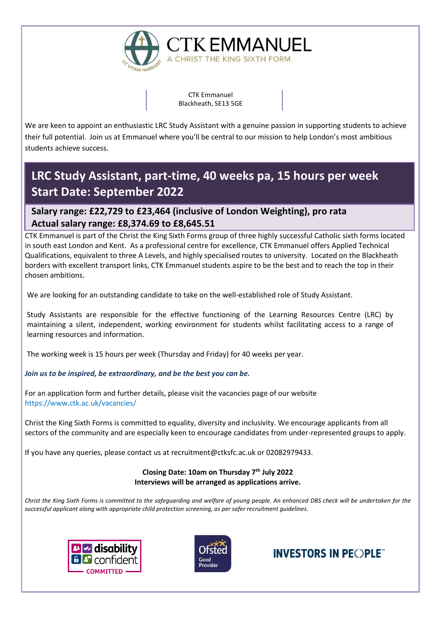

CTK Emmanuel Blackheath, SE13 5GE

**CTK EMMANUEL** 

A CHRIST THE KING SIXTH FORM

We are keen to appoint an enthusiastic LRC Study Assistant with a genuine passion in supporting students to achieve their full potential. Join us at Emmanuel where you'll be central to our mission to help London's most ambitious students achieve success.

# **LRC Study Assistant, part-time, 40 weeks pa, 15 hours per week Start Date: September 2022**

### **Salary range: £22,729 to £23,464 (inclusive of London Weighting), pro rata Actual salary range: £8,374.69 to £8,645.51**

CTK Emmanuel is part of the Christ the King Sixth Forms group of three highly successful Catholic sixth forms located in south east London and Kent. As a professional centre for excellence, CTK Emmanuel offers Applied Technical Qualifications, equivalent to three A Levels, and highly specialised routes to university. Located on the Blackheath borders with excellent transport links, CTK Emmanuel students aspire to be the best and to reach the top in their chosen ambitions.

We are looking for an outstanding candidate to take on the well-established role of Study Assistant.

Study Assistants are responsible for the effective functioning of the Learning Resources Centre (LRC) by maintaining a silent, independent, working environment for students whilst facilitating access to a range of learning resources and information.

The working week is 15 hours per week (Thursday and Friday) for 40 weeks per year.

#### *Join us to be inspired, be extraordinary, and be the best you can be.*

For an application form and further details, please visit the vacancies page of our website <https://www.ctk.ac.uk/vacancies/>

Christ the King Sixth Forms is committed to equality, diversity and inclusivity. We encourage applicants from all sectors of the community and are especially keen to encourage candidates from under-represented groups to apply.

If you have any queries, please contact us at recruitment@ctksfc.ac.uk or 02082979433.

#### **Closing Date: 10am on Thursday 7th July 2022 Interviews will be arranged as applications arrive.**

*Christ the King Sixth Forms is committed to the safeguarding and welfare of young people. An enhanced DBS check will be undertaken for the successful applicant along with appropriate child protection screening, as per safer recruitment guidelines.*





## **INVESTORS IN PEOPLE**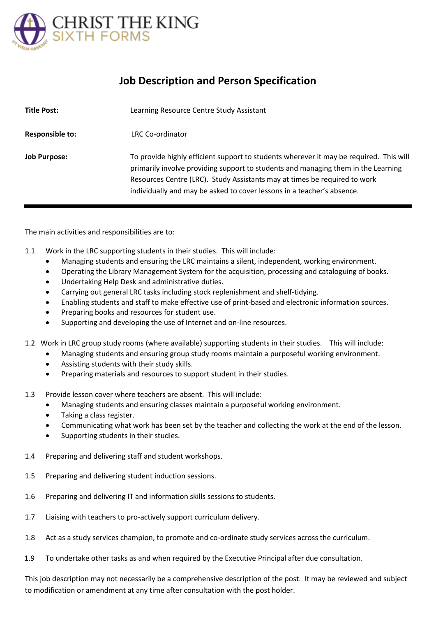

### **Job Description and Person Specification**

| <b>Title Post:</b>     | Learning Resource Centre Study Assistant                                                                                                                                                                                                                                                                                           |
|------------------------|------------------------------------------------------------------------------------------------------------------------------------------------------------------------------------------------------------------------------------------------------------------------------------------------------------------------------------|
| <b>Responsible to:</b> | LRC Co-ordinator                                                                                                                                                                                                                                                                                                                   |
| <b>Job Purpose:</b>    | To provide highly efficient support to students wherever it may be required. This will<br>primarily involve providing support to students and managing them in the Learning<br>Resources Centre (LRC). Study Assistants may at times be required to work<br>individually and may be asked to cover lessons in a teacher's absence. |

The main activities and responsibilities are to:

- 1.1 Work in the LRC supporting students in their studies. This will include:
	- Managing students and ensuring the LRC maintains a silent, independent, working environment.
	- Operating the Library Management System for the acquisition, processing and cataloguing of books.
	- Undertaking Help Desk and administrative duties.
	- Carrying out general LRC tasks including stock replenishment and shelf-tidying.
	- Enabling students and staff to make effective use of print-based and electronic information sources.
	- Preparing books and resources for student use.
	- Supporting and developing the use of Internet and on-line resources.
- 1.2 Work in LRC group study rooms (where available) supporting students in their studies. This will include:
	- Managing students and ensuring group study rooms maintain a purposeful working environment.
	- Assisting students with their study skills.
	- Preparing materials and resources to support student in their studies.
- 1.3 Provide lesson cover where teachers are absent. This will include:
	- Managing students and ensuring classes maintain a purposeful working environment.
	- Taking a class register.
	- Communicating what work has been set by the teacher and collecting the work at the end of the lesson.
	- Supporting students in their studies.
- 1.4 Preparing and delivering staff and student workshops.
- 1.5 Preparing and delivering student induction sessions.
- 1.6 Preparing and delivering IT and information skills sessions to students.
- 1.7 Liaising with teachers to pro-actively support curriculum delivery.
- 1.8 Act as a study services champion, to promote and co-ordinate study services across the curriculum.
- 1.9 To undertake other tasks as and when required by the Executive Principal after due consultation.

This job description may not necessarily be a comprehensive description of the post. It may be reviewed and subject to modification or amendment at any time after consultation with the post holder.